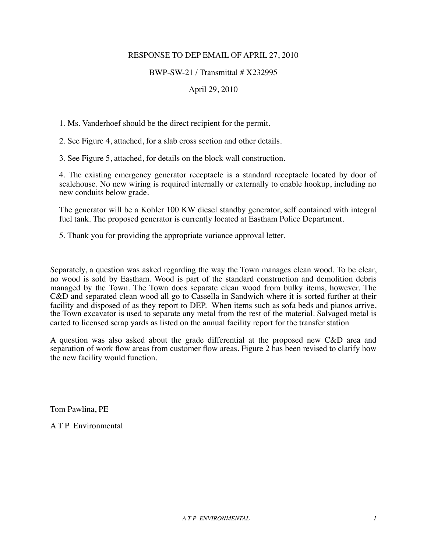### RESPONSE TO DEP EMAIL OF APRIL 27, 2010

#### BWP-SW-21 / Transmittal # X232995

## April 29, 2010

1. Ms. Vanderhoef should be the direct recipient for the permit.

2. See Figure 4, attached, for a slab cross section and other details.

3. See Figure 5, attached, for details on the block wall construction.

4. The existing emergency generator receptacle is a standard receptacle located by door of scalehouse. No new wiring is required internally or externally to enable hookup, including no new conduits below grade.

The generator will be a Kohler 100 KW diesel standby generator, self contained with integral fuel tank. The proposed generator is currently located at Eastham Police Department.

5. Thank you for providing the appropriate variance approval letter.

Separately, a question was asked regarding the way the Town manages clean wood. To be clear, no wood is sold by Eastham. Wood is part of the standard construction and demolition debris managed by the Town. The Town does separate clean wood from bulky items, however. The C&D and separated clean wood all go to Cassella in Sandwich where it is sorted further at their facility and disposed of as they report to DEP. When items such as sofa beds and pianos arrive, the Town excavator is used to separate any metal from the rest of the material. Salvaged metal is carted to licensed scrap yards as listed on the annual facility report for the transfer station

A question was also asked about the grade differential at the proposed new C&D area and separation of work flow areas from customer flow areas. Figure 2 has been revised to clarify how the new facility would function.

Tom Pawlina, PE

A T P Environmental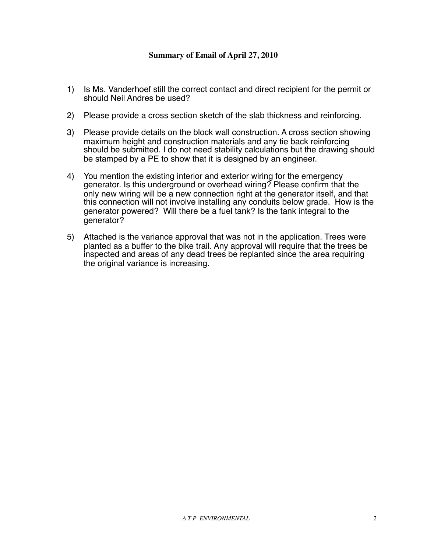#### **Summary of Email of April 27, 2010**

- 1) Is Ms. Vanderhoef still the correct contact and direct recipient for the permit or should Neil Andres be used?
- 2) Please provide a cross section sketch of the slab thickness and reinforcing.
- 3) Please provide details on the block wall construction. A cross section showing maximum height and construction materials and any tie back reinforcing should be submitted. I do not need stability calculations but the drawing should be stamped by a PE to show that it is designed by an engineer.
- 4) You mention the existing interior and exterior wiring for the emergency generator. Is this underground or overhead wiring? Please confirm that the only new wiring will be a new connection right at the generator itself, and that this connection will not involve installing any conduits below grade. How is the generator powered? Will there be a fuel tank? Is the tank integral to the generator?
- 5) Attached is the variance approval that was not in the application. Trees were planted as a buffer to the bike trail. Any approval will require that the trees be inspected and areas of any dead trees be replanted since the area requiring the original variance is increasing.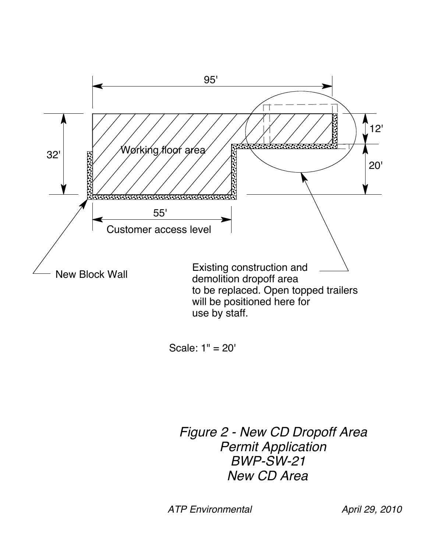

Scale: 1" = 20'

*Figure 2 - New CD Dropoff Area Permit Application BWP-SW-21 New CD Area*

*ATP Environmental April 29, 2010*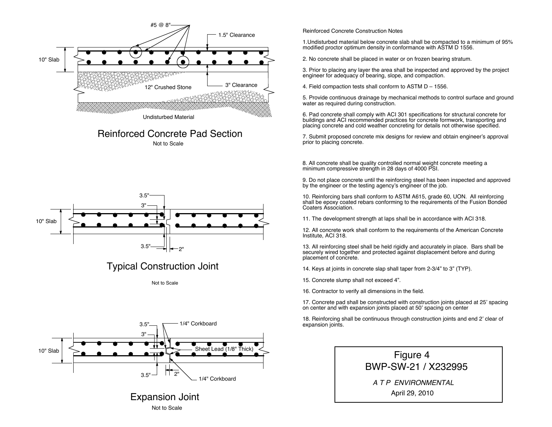

### Not to Scale Reinforced Concrete Pad Section





Not to Scale



# Expansion Joint Not to Scale

#### Reinforced Concrete Construction Notes

1.Undisturbed material below concrete slab shall be compacted to a minimum of 95% modified proctor optimum density in conformance with ASTM D 1556.

2. No concrete shall be placed in water or on frozen bearing stratum.

3. Prior to placing any layer the area shall be inspected and approved by the project engineer for adequacy of bearing, slope, and compaction.

4. Field compaction tests shall conform to ASTM D – 1556.

5. Provide continuous drainage by mechanical methods to control surface and ground water as required during construction.

6. Pad concrete shall comply with ACI 301 specifications for structural concrete for buildings and ACI recommended practices for concrete formwork, transporting and placing concrete and cold weather concreting for details not otherwise specified.

7. Submit proposed concrete mix designs for review and obtain engineer's approval prior to placing concrete.

8. All concrete shall be quality controlled normal weight concrete meeting a minimum compressive strength in 28 days of 4000 PSI.

9. Do not place concrete until the reinforcing steel has been inspected and approved by the engineer or the testing agency's engineer of the job.

10. Reinforcing bars shall conform to ASTM A615, grade 60, UON. All reinforcing shall be epoxy coated rebars conforming to the requirements of the Fusion Bonded Coaters Association.

11. The development strength at laps shall be in accordance with ACI 318.

12. All concrete work shall conform to the requirements of the American Concrete Institute, ACI 318.

13. All reinforcing steel shall be held rigidly and accurately in place. Bars shall be securely wired together and protected against displacement before and during placement of concrete.

14. Keys at joints in concrete slap shall taper from 2-3/4" to 3" (TYP).

15. Concrete slump shall not exceed 4".

16. Contractor to verify all dimensions in the field.

17. Concrete pad shall be constructed with construction joints placed at 25<sup>&#</sup>x27; spacing on center and with expansion joints placed at 50<sup>&#</sup>x27; spacing on center</sup>

18. Reinforcing shall be continuous through construction joints and end 2' clear of expansion joints.